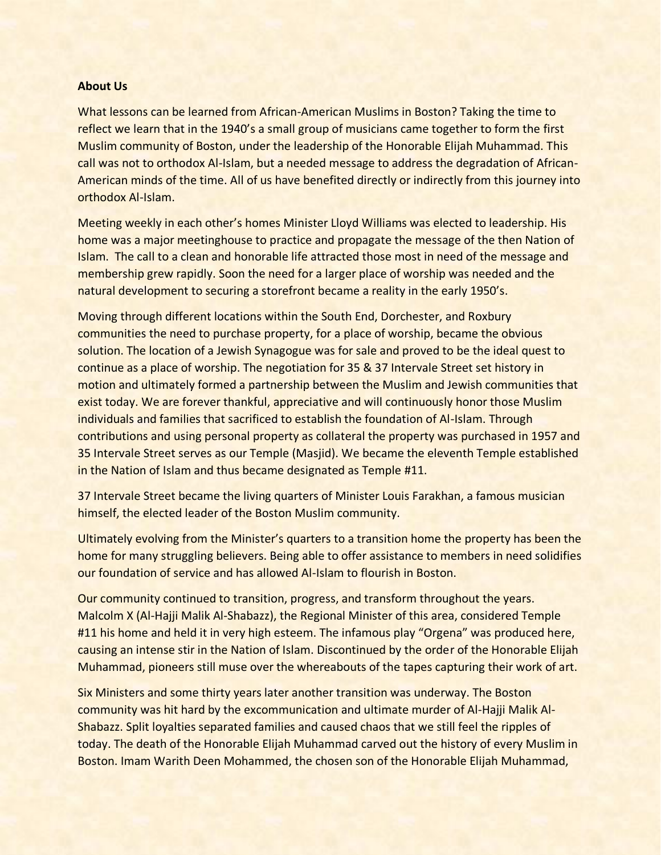## **About Us**

What lessons can be learned from African-American Muslims in Boston? Taking the time to reflect we learn that in the 1940's a small group of musicians came together to form the first Muslim community of Boston, under the leadership of the Honorable Elijah Muhammad. This call was not to orthodox Al-Islam, but a needed message to address the degradation of African-American minds of the time. All of us have benefited directly or indirectly from this journey into orthodox Al-Islam.

Meeting weekly in each other's homes Minister Lloyd Williams was elected to leadership. His home was a major meetinghouse to practice and propagate the message of the then Nation of Islam. The call to a clean and honorable life attracted those most in need of the message and membership grew rapidly. Soon the need for a larger place of worship was needed and the natural development to securing a storefront became a reality in the early 1950's.

Moving through different locations within the South End, Dorchester, and Roxbury communities the need to purchase property, for a place of worship, became the obvious solution. The location of a Jewish Synagogue was for sale and proved to be the ideal quest to continue as a place of worship. The negotiation for 35 & 37 Intervale Street set history in motion and ultimately formed a partnership between the Muslim and Jewish communities that exist today. We are forever thankful, appreciative and will continuously honor those Muslim individuals and families that sacrificed to establish the foundation of Al-Islam. Through contributions and using personal property as collateral the property was purchased in 1957 and 35 Intervale Street serves as our Temple (Masjid). We became the eleventh Temple established in the Nation of Islam and thus became designated as Temple #11.

37 Intervale Street became the living quarters of Minister Louis Farakhan, a famous musician himself, the elected leader of the Boston Muslim community.

Ultimately evolving from the Minister's quarters to a transition home the property has been the home for many struggling believers. Being able to offer assistance to members in need solidifies our foundation of service and has allowed Al-Islam to flourish in Boston.

Our community continued to transition, progress, and transform throughout the years. Malcolm X (Al-Hajji Malik Al-Shabazz), the Regional Minister of this area, considered Temple #11 his home and held it in very high esteem. The infamous play "Orgena" was produced here, causing an intense stir in the Nation of Islam. Discontinued by the order of the Honorable Elijah Muhammad, pioneers still muse over the whereabouts of the tapes capturing their work of art.

Six Ministers and some thirty years later another transition was underway. The Boston community was hit hard by the excommunication and ultimate murder of Al-Hajji Malik Al-Shabazz. Split loyalties separated families and caused chaos that we still feel the ripples of today. The death of the Honorable Elijah Muhammad carved out the history of every Muslim in Boston. Imam Warith Deen Mohammed, the chosen son of the Honorable Elijah Muhammad,